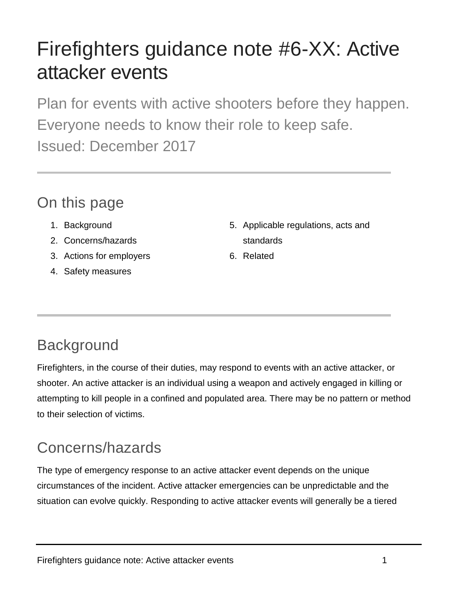# Firefighters guidance note #6-XX: Active attacker events

Plan for events with active shooters before they happen. Everyone needs to know their role to keep safe. Issued: December 2017

### On this page

- 1. Background
- 2. Concerns/hazards
- 3. Actions for employers
- 4. Safety measures
- 5. Applicable regulations, acts and standards
- 6. Related

## **Background**

Firefighters, in the course of their duties, may respond to events with an active attacker, or shooter. An active attacker is an individual using a weapon and actively engaged in killing or attempting to kill people in a confined and populated area. There may be no pattern or method to their selection of victims.

## Concerns/hazards

The type of emergency response to an active attacker event depends on the unique circumstances of the incident. Active attacker emergencies can be unpredictable and the situation can evolve quickly. Responding to active attacker events will generally be a tiered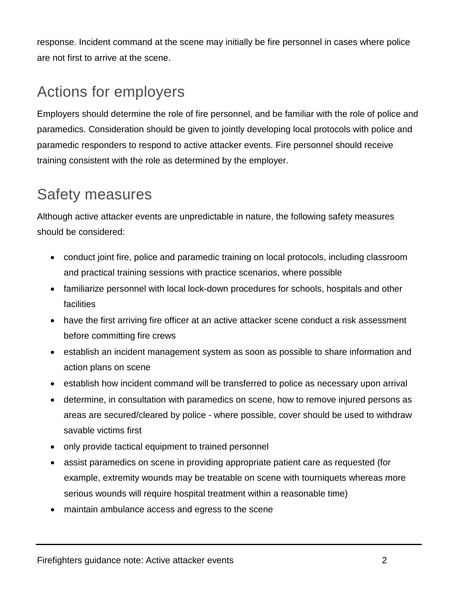response. Incident command at the scene may initially be fire personnel in cases where police are not first to arrive at the scene.

#### Actions for employers

Employers should determine the role of fire personnel, and be familiar with the role of police and paramedics. Consideration should be given to jointly developing local protocols with police and paramedic responders to respond to active attacker events. Fire personnel should receive training consistent with the role as determined by the employer.

#### Safety measures

Although active attacker events are unpredictable in nature, the following safety measures should be considered:

- conduct joint fire, police and paramedic training on local protocols, including classroom and practical training sessions with practice scenarios, where possible
- familiarize personnel with local lock-down procedures for schools, hospitals and other facilities
- have the first arriving fire officer at an active attacker scene conduct a risk assessment before committing fire crews
- establish an incident management system as soon as possible to share information and action plans on scene
- establish how incident command will be transferred to police as necessary upon arrival
- determine, in consultation with paramedics on scene, how to remove injured persons as areas are secured/cleared by police - where possible, cover should be used to withdraw savable victims first
- only provide tactical equipment to trained personnel
- assist paramedics on scene in providing appropriate patient care as requested (for example, extremity wounds may be treatable on scene with tourniquets whereas more serious wounds will require hospital treatment within a reasonable time)
- maintain ambulance access and egress to the scene